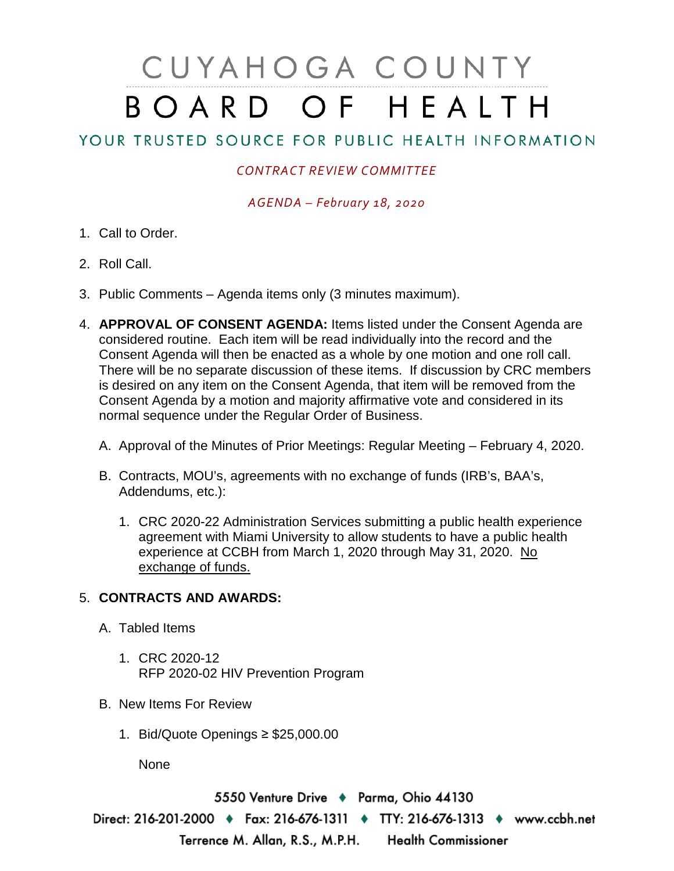## CUYAHOGA COUNTY BOARD OF HEALTH

## YOUR TRUSTED SOURCE FOR PUBLIC HEALTH INFORMATION

## *CONTRACT REVIEW COMMITTEE*

*AGENDA – February 18, 2020*

- 1. Call to Order.
- 2. Roll Call.
- 3. Public Comments Agenda items only (3 minutes maximum).
- 4. **APPROVAL OF CONSENT AGENDA:** Items listed under the Consent Agenda are considered routine. Each item will be read individually into the record and the Consent Agenda will then be enacted as a whole by one motion and one roll call. There will be no separate discussion of these items. If discussion by CRC members is desired on any item on the Consent Agenda, that item will be removed from the Consent Agenda by a motion and majority affirmative vote and considered in its normal sequence under the Regular Order of Business.
	- A. Approval of the Minutes of Prior Meetings: Regular Meeting February 4, 2020.
	- B. Contracts, MOU's, agreements with no exchange of funds (IRB's, BAA's, Addendums, etc.):
		- 1. CRC 2020-22 Administration Services submitting a public health experience agreement with Miami University to allow students to have a public health experience at CCBH from March 1, 2020 through May 31, 2020. No exchange of funds.

## 5. **CONTRACTS AND AWARDS:**

- A. Tabled Items
	- 1. CRC 2020-12 RFP 2020-02 HIV Prevention Program
- B. New Items For Review
	- 1. Bid/Quote Openings ≥ \$25,000.00

None

5550 Venture Drive + Parma, Ohio 44130 Direct: 216-201-2000 • Fax: 216-676-1311 • TTY: 216-676-1313 • www.ccbh.net Terrence M. Allan, R.S., M.P.H. Health Commissioner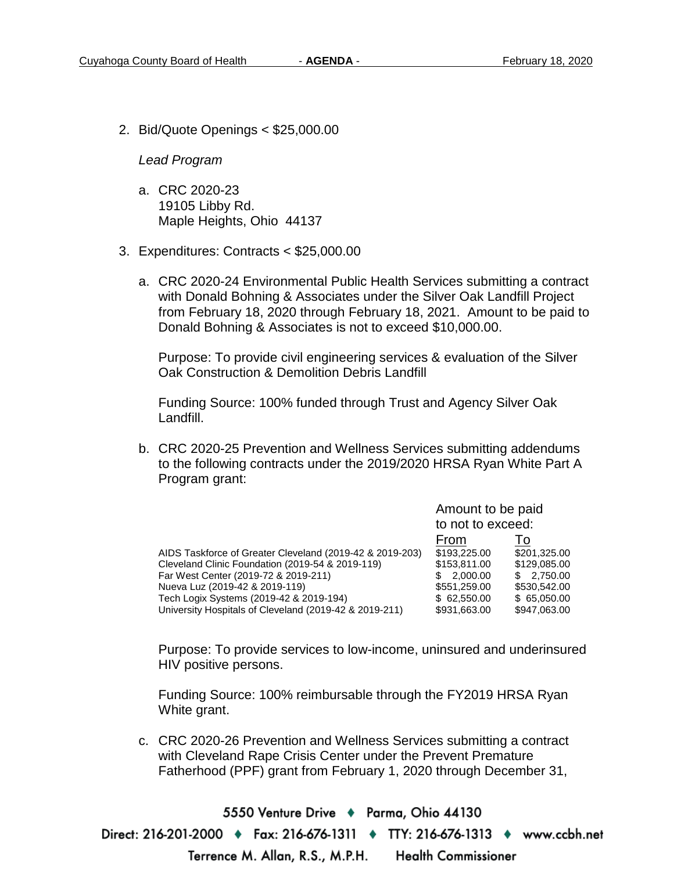2. Bid/Quote Openings < \$25,000.00

*Lead Program* 

- a. CRC 2020-23 19105 Libby Rd. Maple Heights, Ohio 44137
- 3. Expenditures: Contracts < \$25,000.00
	- a. CRC 2020-24 Environmental Public Health Services submitting a contract with Donald Bohning & Associates under the Silver Oak Landfill Project from February 18, 2020 through February 18, 2021. Amount to be paid to Donald Bohning & Associates is not to exceed \$10,000.00.

Purpose: To provide civil engineering services & evaluation of the Silver Oak Construction & Demolition Debris Landfill

Funding Source: 100% funded through Trust and Agency Silver Oak Landfill.

b. CRC 2020-25 Prevention and Wellness Services submitting addendums to the following contracts under the 2019/2020 HRSA Ryan White Part A Program grant:

|                                                          | Amount to be paid |              |
|----------------------------------------------------------|-------------------|--------------|
|                                                          | to not to exceed: |              |
|                                                          | From              | 10           |
| AIDS Taskforce of Greater Cleveland (2019-42 & 2019-203) | \$193,225,00      | \$201,325.00 |
| Cleveland Clinic Foundation (2019-54 & 2019-119)         | \$153,811.00      | \$129,085.00 |
| Far West Center (2019-72 & 2019-211)                     | 2,000.00          | \$2,750.00   |
| Nueva Luz (2019-42 & 2019-119)                           | \$551,259,00      | \$530,542.00 |
| Tech Logix Systems (2019-42 & 2019-194)                  | \$62.550.00       | \$65.050.00  |
| University Hospitals of Cleveland (2019-42 & 2019-211)   | \$931,663.00      | \$947,063.00 |

Purpose: To provide services to low-income, uninsured and underinsured HIV positive persons.

Funding Source: 100% reimbursable through the FY2019 HRSA Ryan White grant.

c. CRC 2020-26 Prevention and Wellness Services submitting a contract with Cleveland Rape Crisis Center under the Prevent Premature Fatherhood (PPF) grant from February 1, 2020 through December 31,

5550 Venture Drive + Parma, Ohio 44130 Direct: 216-201-2000 ♦ Fax: 216-676-1311 ♦ TTY: 216-676-1313 ♦ www.ccbh.net Terrence M. Allan, R.S., M.P.H. **Health Commissioner**